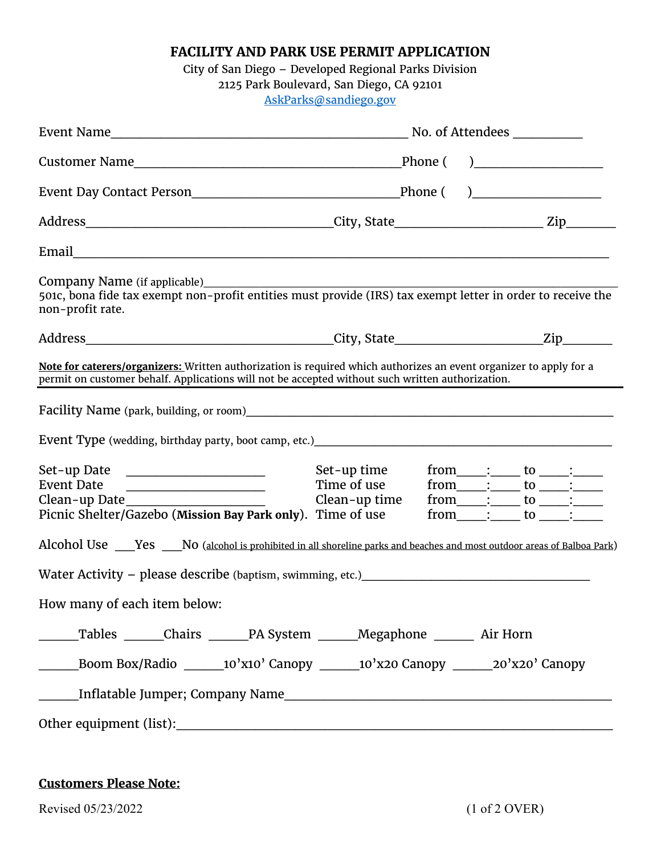**FACILITY AND PARK USE PERMIT APPLICATION**

City of San Diego – Developed Regional Parks Division 2125 Park Boulevard, San Diego, CA 92101 [AskParks@sandiego.gov](mailto:AskParks@sandiego.gov)

| Company Name (if applicable)_________<br>501c, bona fide tax exempt non-profit entities must provide (IRS) tax exempt letter in order to receive the<br>non-profit rate.                                               |                                             |  |  |                                                                                                                                                                                                                                 |
|------------------------------------------------------------------------------------------------------------------------------------------------------------------------------------------------------------------------|---------------------------------------------|--|--|---------------------------------------------------------------------------------------------------------------------------------------------------------------------------------------------------------------------------------|
|                                                                                                                                                                                                                        |                                             |  |  |                                                                                                                                                                                                                                 |
| Note for caterers/organizers: Written authorization is required which authorizes an event organizer to apply for a<br>permit on customer behalf. Applications will not be accepted without such written authorization. |                                             |  |  |                                                                                                                                                                                                                                 |
|                                                                                                                                                                                                                        |                                             |  |  |                                                                                                                                                                                                                                 |
|                                                                                                                                                                                                                        |                                             |  |  |                                                                                                                                                                                                                                 |
| Set-up Date ______________________<br>Event Date<br><u> 1980 - Johann John Stone, market francuski filozof (</u><br>Clean-up Date<br>Picnic Shelter/Gazebo (Mission Bay Park only). Time of use                        | Set-up time<br>Time of use<br>Clean-up time |  |  | $from \_\_\_\_\_\_\_\ to \_\_\_\_\_\_\_\_\$<br>from $\overline{\phantom{a}}$ : $\overline{\phantom{a}}$ to $\overline{\phantom{a}}$ :<br>$from \_\_\_\_\_\_\_\_$ to $\_\_\_\_\_\_\_\_\_\_\_$<br>$from$ $\qquad$ : to $\qquad$ : |
| Alcohol Use ____Yes ____No (alcohol is prohibited in all shoreline parks and beaches and most outdoor areas of Balboa Park)                                                                                            |                                             |  |  |                                                                                                                                                                                                                                 |
|                                                                                                                                                                                                                        |                                             |  |  |                                                                                                                                                                                                                                 |
| How many of each item below:                                                                                                                                                                                           |                                             |  |  |                                                                                                                                                                                                                                 |
| Tables ______Chairs ______PA System ______Megaphone _______ Air Horn                                                                                                                                                   |                                             |  |  |                                                                                                                                                                                                                                 |
| Boom Box/Radio _______10'x10' Canopy _______10'x20 Canopy _______20'x20' Canopy                                                                                                                                        |                                             |  |  |                                                                                                                                                                                                                                 |
|                                                                                                                                                                                                                        |                                             |  |  |                                                                                                                                                                                                                                 |
|                                                                                                                                                                                                                        |                                             |  |  |                                                                                                                                                                                                                                 |

## **Customers Please Note:**

Revised 05/23/2022 (1 of 2 OVER)